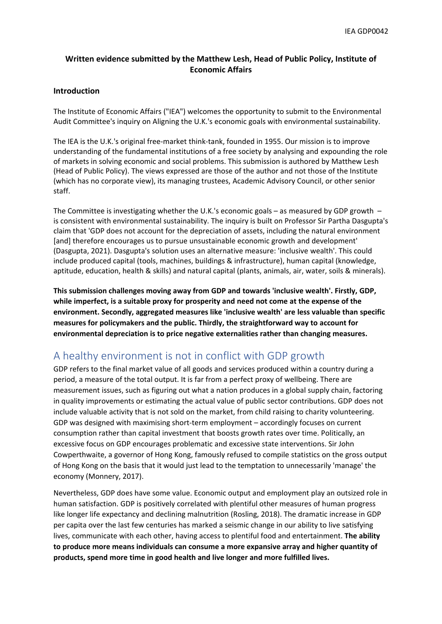#### **Written evidence submitted by the Matthew Lesh, Head of Public Policy, Institute of Economic Affairs**

#### **Introduction**

The Institute of Economic Affairs ("IEA") welcomes the opportunity to submit to the Environmental Audit Committee's inquiry on Aligning the U.K.'s economic goals with environmental sustainability.

The IEA is the U.K.'s original free-market think-tank, founded in 1955. Our mission is to improve understanding of the fundamental institutions of a free society by analysing and expounding the role of markets in solving economic and social problems. This submission is authored by Matthew Lesh (Head of Public Policy). The views expressed are those of the author and not those of the Institute (which has no corporate view), its managing trustees, Academic Advisory Council, or other senior staff.

The Committee is investigating whether the U.K.'s economic goals – as measured by GDP growth  $$ is consistent with environmental sustainability. The inquiry is built on Professor Sir Partha Dasgupta's claim that 'GDP does not account for the depreciation of assets, including the natural environment [and] therefore encourages us to pursue unsustainable economic growth and development' (Dasgupta, 2021). Dasgupta's solution uses an alternative measure: 'inclusive wealth'. This could include produced capital (tools, machines, buildings & infrastructure), human capital (knowledge, aptitude, education, health & skills) and natural capital (plants, animals, air, water, soils & minerals).

**This submission challenges moving away from GDP and towards 'inclusive wealth'. Firstly, GDP, while imperfect, is a suitable proxy for prosperity and need not come at the expense of the environment. Secondly, aggregated measures like 'inclusive wealth' are less valuable than specific measures for policymakers and the public. Thirdly, the straightforward way to account for environmental depreciation is to price negative externalities rather than changing measures.**

## A healthy environment is not in conflict with GDP growth

GDP refers to the final market value of all goods and services produced within a country during a period, a measure of the total output. It is far from a perfect proxy of wellbeing. There are measurement issues, such as figuring out what a nation produces in a global supply chain, factoring in quality improvements or estimating the actual value of public sector contributions. GDP does not include valuable activity that is not sold on the market, from child raising to charity volunteering. GDP was designed with maximising short-term employment – accordingly focuses on current consumption rather than capital investment that boosts growth rates over time. Politically, an excessive focus on GDP encourages problematic and excessive state interventions. Sir John Cowperthwaite, a governor of Hong Kong, famously refused to compile statistics on the gross output of Hong Kong on the basis that it would just lead to the temptation to unnecessarily 'manage' the economy (Monnery, 2017).

Nevertheless, GDP does have some value. Economic output and employment play an outsized role in human satisfaction. GDP is positively correlated with plentiful other measures of human progress like longer life expectancy and declining malnutrition (Rosling, 2018). The dramatic increase in GDP per capita over the last few centuries has marked a seismic change in our ability to live satisfying lives, communicate with each other, having access to plentiful food and entertainment. **The ability to produce more means individuals can consume a more expansive array and higher quantity of products, spend more time in good health and live longer and more fulfilled lives.**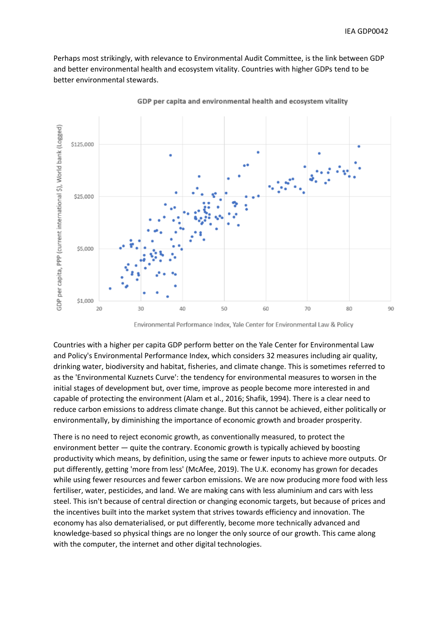Perhaps most strikingly, with relevance to Environmental Audit Committee, is the link between GDP and better environmental health and ecosystem vitality. Countries with higher GDPs tend to be better environmental stewards.



GDP per capita and environmental health and ecosystem vitality

Environmental Performance Index, Yale Center for Environmental Law & Policy

Countries with a higher per capita GDP perform better on the Yale Center for Environmental Law and Policy's Environmental Performance Index, which considers 32 measures including air quality, drinking water, biodiversity and habitat, fisheries, and climate change. This is sometimes referred to as the 'Environmental Kuznets Curve': the tendency for environmental measures to worsen in the initial stages of development but, over time, improve as people become more interested in and capable of protecting the environment (Alam et al., 2016; Shafik, 1994). There is a clear need to reduce carbon emissions to address climate change. But this cannot be achieved, either politically or environmentally, by diminishing the importance of economic growth and broader prosperity.

There is no need to reject economic growth, as conventionally measured, to protect the environment better — quite the contrary. Economic growth is typically achieved by boosting productivity which means, by definition, using the same or fewer inputs to achieve more outputs. Or put differently, getting 'more from less' (McAfee, 2019). The U.K. economy has grown for decades while using fewer resources and fewer carbon emissions. We are now producing more food with less fertiliser, water, pesticides, and land. We are making cans with less aluminium and cars with less steel. This isn't because of central direction or changing economic targets, but because of prices and the incentives built into the market system that strives towards efficiency and innovation. The economy has also dematerialised, or put differently, become more technically advanced and knowledge-based so physical things are no longer the only source of our growth. This came along with the computer, the internet and other digital technologies.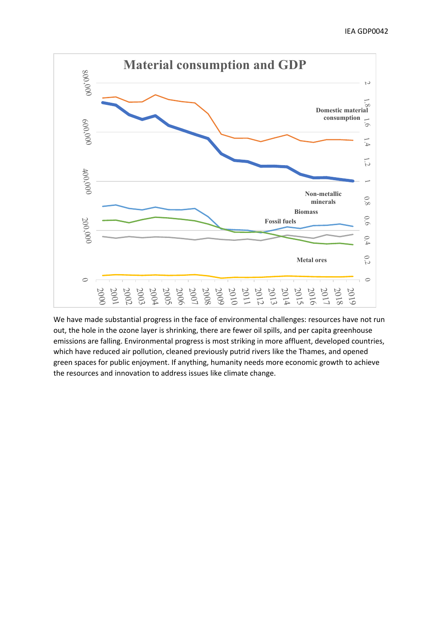

We have made substantial progress in the face of environmental challenges: resources have not run out, the hole in the ozone layer is shrinking, there are fewer oil spills, and per capita greenhouse emissions are falling. Environmental progress is most striking in more affluent, developed countries, which have reduced air pollution, cleaned previously putrid rivers like the Thames, and opened green spaces for public enjoyment. If anything, humanity needs more economic growth to achieve the resources and innovation to address issues like climate change.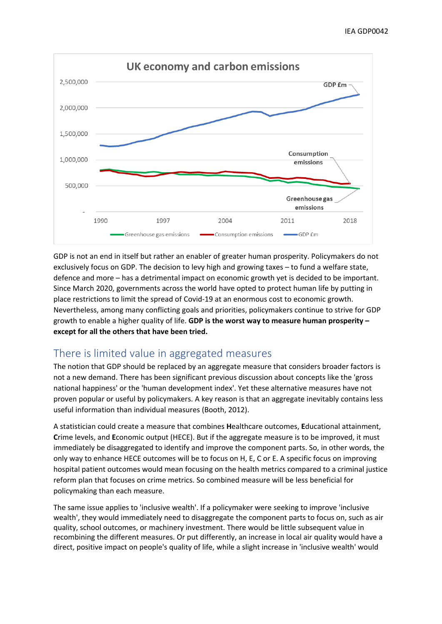

GDP is not an end in itself but rather an enabler of greater human prosperity. Policymakers do not exclusively focus on GDP. The decision to levy high and growing taxes – to fund a welfare state, defence and more – has a detrimental impact on economic growth yet is decided to be important. Since March 2020, governments across the world have opted to protect human life by putting in place restrictions to limit the spread of Covid-19 at an enormous cost to economic growth. Nevertheless, among many conflicting goals and priorities, policymakers continue to strive for GDP growth to enable a higher quality of life. **GDP is the worst way to measure human prosperity – except for all the others that have been tried.**

## There is limited value in aggregated measures

The notion that GDP should be replaced by an aggregate measure that considers broader factors is not a new demand. There has been significant previous discussion about concepts like the 'gross national happiness' or the 'human development index'. Yet these alternative measures have not proven popular or useful by policymakers. A key reason is that an aggregate inevitably contains less useful information than individual measures (Booth, 2012).

A statistician could create a measure that combines **H**ealthcare outcomes, **E**ducational attainment, **C**rime levels, and **E**conomic output (HECE). But if the aggregate measure is to be improved, it must immediately be disaggregated to identify and improve the component parts. So, in other words, the only way to enhance HECE outcomes will be to focus on H, E, C or E. A specific focus on improving hospital patient outcomes would mean focusing on the health metrics compared to a criminal justice reform plan that focuses on crime metrics. So combined measure will be less beneficial for policymaking than each measure.

The same issue applies to 'inclusive wealth'. If a policymaker were seeking to improve 'inclusive wealth', they would immediately need to disaggregate the component parts to focus on, such as air quality, school outcomes, or machinery investment. There would be little subsequent value in recombining the different measures. Or put differently, an increase in local air quality would have a direct, positive impact on people's quality of life, while a slight increase in 'inclusive wealth' would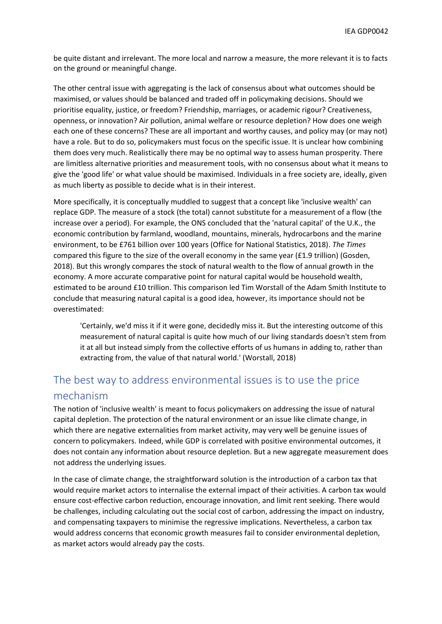be quite distant and irrelevant. The more local and narrow a measure, the more relevant it is to facts on the ground or meaningful change.

The other central issue with aggregating is the lack of consensus about what outcomes should be maximised, or values should be balanced and traded off in policymaking decisions. Should we prioritise equality, justice, or freedom? Friendship, marriages, or academic rigour? Creativeness, openness, or innovation? Air pollution, animal welfare or resource depletion? How does one weigh each one of these concerns? These are all important and worthy causes, and policy may (or may not) have a role. But to do so, policymakers must focus on the specific issue. It is unclear how combining them does very much. Realistically there may be no optimal way to assess human prosperity. There are limitless alternative priorities and measurement tools, with no consensus about what it means to give the 'good life' or what value should be maximised. Individuals in a free society are, ideally, given as much liberty as possible to decide what is in their interest.

More specifically, it is conceptually muddled to suggest that a concept like 'inclusive wealth' can replace GDP. The measure of a stock (the total) cannot substitute for a measurement of a flow (the increase over a period). For example, the ONS concluded that the 'natural capital' of the U.K., the economic contribution by farmland, woodland, mountains, minerals, hydrocarbons and the marine environment, to be £761 billion over 100 years (Office for National Statistics, 2018). *The Times* compared this figure to the size of the overall economy in the same year (£1.9 trillion) (Gosden, 2018). But this wrongly compares the stock of natural wealth to the flow of annual growth in the economy. A more accurate comparative point for natural capital would be household wealth, estimated to be around £10 trillion. This comparison led Tim Worstall of the Adam Smith Institute to conclude that measuring natural capital is a good idea, however, its importance should not be overestimated:

'Certainly, we'd miss it if it were gone, decidedly miss it. But the interesting outcome of this measurement of natural capital is quite how much of our living standards doesn't stem from it at all but instead simply from the collective efforts of us humans in adding to, rather than extracting from, the value of that natural world.' (Worstall, 2018)

# The best way to address environmental issues is to use the price mechanism

The notion of 'inclusive wealth' is meant to focus policymakers on addressing the issue of natural capital depletion. The protection of the natural environment or an issue like climate change, in which there are negative externalities from market activity, may very well be genuine issues of concern to policymakers. Indeed, while GDP is correlated with positive environmental outcomes, it does not contain any information about resource depletion. But a new aggregate measurement does not address the underlying issues.

In the case of climate change, the straightforward solution is the introduction of a carbon tax that would require market actors to internalise the external impact of their activities. A carbon tax would ensure cost-effective carbon reduction, encourage innovation, and limit rent seeking. There would be challenges, including calculating out the social cost of carbon, addressing the impact on industry, and compensating taxpayers to minimise the regressive implications. Nevertheless, a carbon tax would address concerns that economic growth measures fail to consider environmental depletion, as market actors would already pay the costs.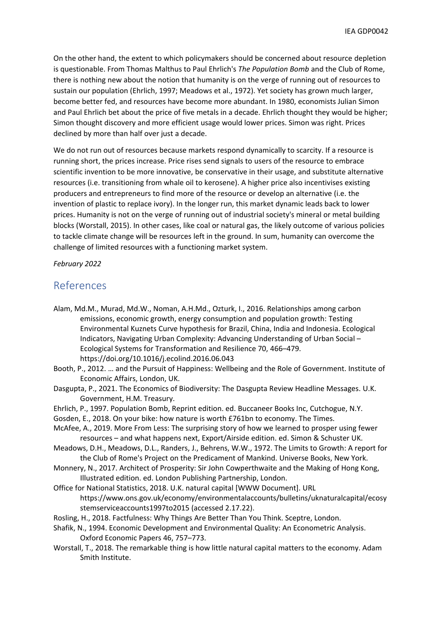On the other hand, the extent to which policymakers should be concerned about resource depletion is questionable. From Thomas Malthus to Paul Ehrlich's *The Population Bomb* and the Club of Rome, there is nothing new about the notion that humanity is on the verge of running out of resources to sustain our population (Ehrlich, 1997; Meadows et al., 1972). Yet society has grown much larger, become better fed, and resources have become more abundant. In 1980, economists Julian Simon and Paul Ehrlich bet about the price of five metals in a decade. Ehrlich thought they would be higher; Simon thought discovery and more efficient usage would lower prices. Simon was right. Prices declined by more than half over just a decade.

We do not run out of resources because markets respond dynamically to scarcity. If a resource is running short, the prices increase. Price rises send signals to users of the resource to embrace scientific invention to be more innovative, be conservative in their usage, and substitute alternative resources (i.e. transitioning from whale oil to kerosene). A higher price also incentivises existing producers and entrepreneurs to find more of the resource or develop an alternative (i.e. the invention of plastic to replace ivory). In the longer run, this market dynamic leads back to lower prices. Humanity is not on the verge of running out of industrial society's mineral or metal building blocks (Worstall, 2015). In other cases, like coal or natural gas, the likely outcome of various policies to tackle climate change will be resources left in the ground. In sum, humanity can overcome the challenge of limited resources with a functioning market system.

*February 2022*

#### References

- Alam, Md.M., Murad, Md.W., Noman, A.H.Md., Ozturk, I., 2016. Relationships among carbon emissions, economic growth, energy consumption and population growth: Testing Environmental Kuznets Curve hypothesis for Brazil, China, India and Indonesia. Ecological Indicators, Navigating Urban Complexity: Advancing Understanding of Urban Social – Ecological Systems for Transformation and Resilience 70, 466–479. https://doi.org/10.1016/j.ecolind.2016.06.043
- Booth, P., 2012. … and the Pursuit of Happiness: Wellbeing and the Role of Government. Institute of Economic Affairs, London, UK.
- Dasgupta, P., 2021. The Economics of Biodiversity: The Dasgupta Review Headline Messages. U.K. Government, H.M. Treasury.
- Ehrlich, P., 1997. Population Bomb, Reprint edition. ed. Buccaneer Books Inc, Cutchogue, N.Y.
- Gosden, E., 2018. On your bike: how nature is worth £761bn to economy. The Times.
- McAfee, A., 2019. More From Less: The surprising story of how we learned to prosper using fewer resources – and what happens next, Export/Airside edition. ed. Simon & Schuster UK.
- Meadows, D.H., Meadows, D.L., Randers, J., Behrens, W.W., 1972. The Limits to Growth: A report for the Club of Rome's Project on the Predicament of Mankind. Universe Books, New York.
- Monnery, N., 2017. Architect of Prosperity: Sir John Cowperthwaite and the Making of Hong Kong, Illustrated edition. ed. London Publishing Partnership, London.
- Office for National Statistics, 2018. U.K. natural capital [WWW Document]. URL https://www.ons.gov.uk/economy/environmentalaccounts/bulletins/uknaturalcapital/ecosy stemserviceaccounts1997to2015 (accessed 2.17.22).
- Rosling, H., 2018. Factfulness: Why Things Are Better Than You Think. Sceptre, London.
- Shafik, N., 1994. Economic Development and Environmental Quality: An Econometric Analysis. Oxford Economic Papers 46, 757–773.
- Worstall, T., 2018. The remarkable thing is how little natural capital matters to the economy. Adam Smith Institute.